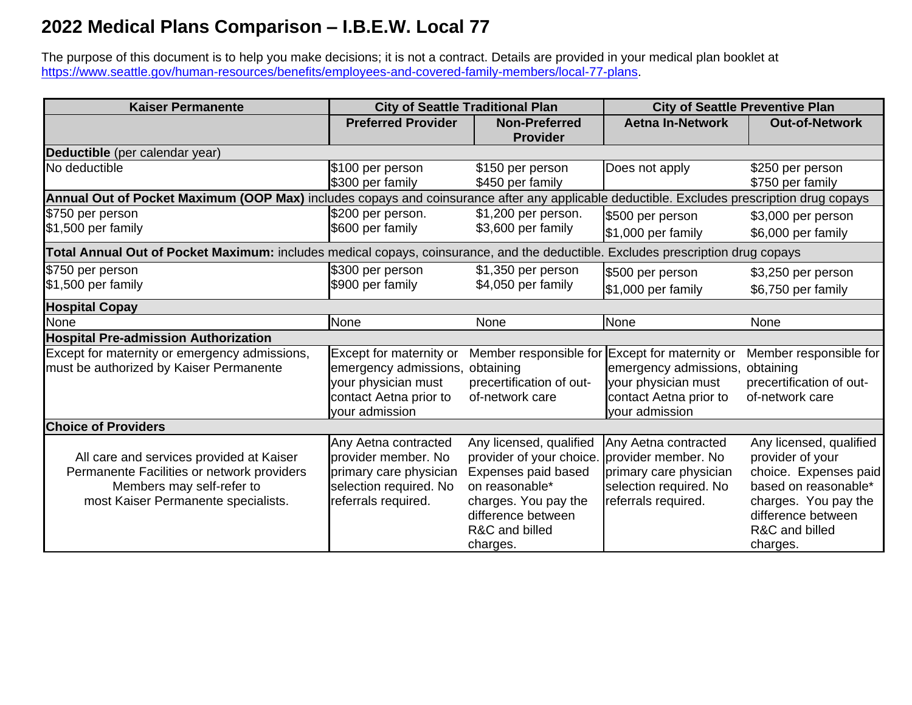## **2022 Medical Plans Comparison – I.B.E.W. Local 77**

The purpose of this document is to help you make decisions; it is not a contract. Details are provided in your medical plan booklet at [https://www.seattle.gov/human-resources/benefits/employees-and-covered-family-members/local-77-plans.](https://www.seattle.gov/human-resources/benefits/employees-and-covered-family-members/local-77-plans)

| <b>Kaiser Permanente</b>                                                                                                                  | <b>City of Seattle Traditional Plan</b> |                                         | <b>City of Seattle Preventive Plan</b> |                                      |
|-------------------------------------------------------------------------------------------------------------------------------------------|-----------------------------------------|-----------------------------------------|----------------------------------------|--------------------------------------|
|                                                                                                                                           | <b>Preferred Provider</b>               | <b>Non-Preferred</b><br><b>Provider</b> | <b>Aetna In-Network</b>                | <b>Out-of-Network</b>                |
| Deductible (per calendar year)                                                                                                            |                                         |                                         |                                        |                                      |
| No deductible                                                                                                                             | \$100 per person<br>\$300 per family    | \$150 per person<br>\$450 per family    | Does not apply                         | \$250 per person<br>\$750 per family |
| Annual Out of Pocket Maximum (OOP Max) includes copays and coinsurance after any applicable deductible. Excludes prescription drug copays |                                         |                                         |                                        |                                      |
| \$750 per person                                                                                                                          | \$200 per person.                       | \$1,200 per person.                     | \$500 per person                       | \$3,000 per person                   |
| \$1,500 per family                                                                                                                        | \$600 per family                        | \$3,600 per family                      | \$1,000 per family                     | \$6,000 per family                   |
| Total Annual Out of Pocket Maximum: includes medical copays, coinsurance, and the deductible. Excludes prescription drug copays           |                                         |                                         |                                        |                                      |
| \$750 per person                                                                                                                          | \$300 per person                        | \$1,350 per person                      | \$500 per person                       | \$3,250 per person                   |
| \$1,500 per family                                                                                                                        | \$900 per family                        | \$4,050 per family                      | \$1,000 per family                     | \$6,750 per family                   |
| <b>Hospital Copay</b>                                                                                                                     |                                         |                                         |                                        |                                      |
| None                                                                                                                                      | None                                    | None                                    | None                                   | None                                 |
| <b>Hospital Pre-admission Authorization</b>                                                                                               |                                         |                                         |                                        |                                      |
| Except for maternity or emergency admissions,                                                                                             | Except for maternity or                 | Member responsible for                  | Except for maternity or                | Member responsible for               |
| must be authorized by Kaiser Permanente                                                                                                   | emergency admissions,                   | obtaining                               | emergency admissions,                  | obtaining                            |
|                                                                                                                                           | your physician must                     | precertification of out-                | your physician must                    | precertification of out-             |
|                                                                                                                                           | contact Aetna prior to                  | of-network care                         | contact Aetna prior to                 | of-network care                      |
|                                                                                                                                           | your admission                          |                                         | your admission                         |                                      |
| <b>Choice of Providers</b>                                                                                                                |                                         |                                         |                                        |                                      |
|                                                                                                                                           | Any Aetna contracted                    | Any licensed, qualified                 | Any Aetna contracted                   | Any licensed, qualified              |
| All care and services provided at Kaiser                                                                                                  | provider member. No                     | provider of your choice.                | provider member. No                    | provider of your                     |
| Permanente Facilities or network providers                                                                                                | primary care physician                  | Expenses paid based                     | primary care physician                 | choice. Expenses paid                |
| Members may self-refer to                                                                                                                 | selection required. No                  | on reasonable*                          | selection required. No                 | based on reasonable*                 |
| most Kaiser Permanente specialists.                                                                                                       | referrals required.                     | charges. You pay the                    | referrals required.                    | charges. You pay the                 |
|                                                                                                                                           |                                         | difference between                      |                                        | difference between                   |
|                                                                                                                                           |                                         | R&C and billed                          |                                        | R&C and billed                       |
|                                                                                                                                           |                                         | charges.                                |                                        | charges.                             |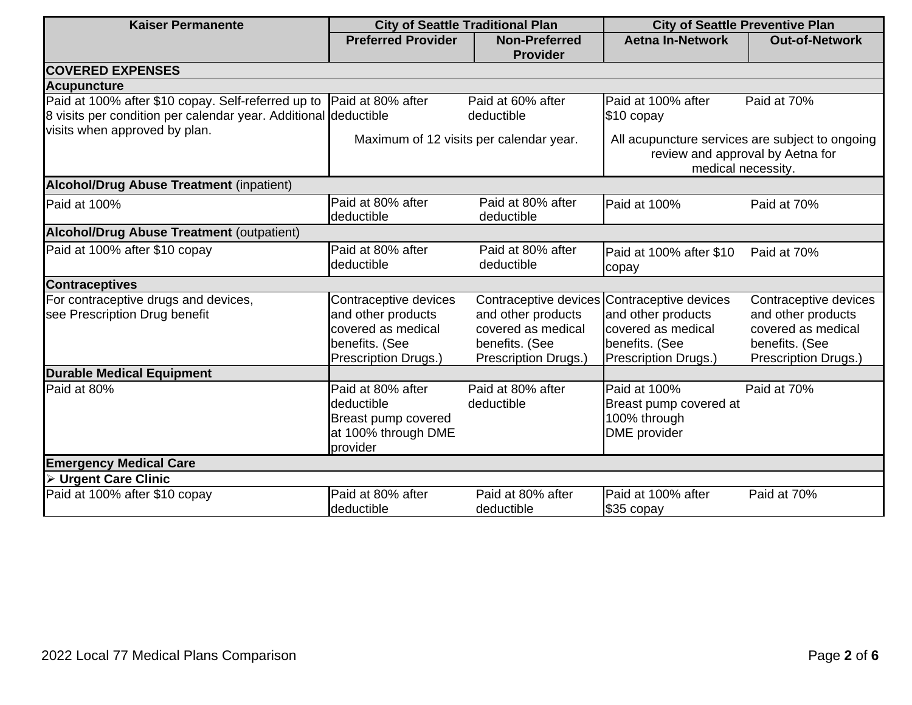| <b>Kaiser Permanente</b>                                                                                                                | <b>City of Seattle Traditional Plan</b>                                                                     |                                                                                                                                   | <b>City of Seattle Preventive Plan</b>                                                                    |                                                                                                             |
|-----------------------------------------------------------------------------------------------------------------------------------------|-------------------------------------------------------------------------------------------------------------|-----------------------------------------------------------------------------------------------------------------------------------|-----------------------------------------------------------------------------------------------------------|-------------------------------------------------------------------------------------------------------------|
|                                                                                                                                         | <b>Preferred Provider</b>                                                                                   | <b>Non-Preferred</b><br><b>Provider</b>                                                                                           | <b>Aetna In-Network</b>                                                                                   | <b>Out-of-Network</b>                                                                                       |
| <b>COVERED EXPENSES</b>                                                                                                                 |                                                                                                             |                                                                                                                                   |                                                                                                           |                                                                                                             |
| <b>Acupuncture</b>                                                                                                                      |                                                                                                             |                                                                                                                                   |                                                                                                           |                                                                                                             |
| Paid at 100% after \$10 copay. Self-referred up to Paid at 80% after<br>8 visits per condition per calendar year. Additional deductible |                                                                                                             | Paid at 60% after<br>deductible                                                                                                   | Paid at 100% after<br>$$10$ copay                                                                         | Paid at 70%                                                                                                 |
| visits when approved by plan.                                                                                                           | Maximum of 12 visits per calendar year.                                                                     |                                                                                                                                   | All acupuncture services are subject to ongoing<br>review and approval by Aetna for<br>medical necessity. |                                                                                                             |
| <b>Alcohol/Drug Abuse Treatment (inpatient)</b>                                                                                         |                                                                                                             |                                                                                                                                   |                                                                                                           |                                                                                                             |
| Paid at 100%                                                                                                                            | Paid at 80% after<br>deductible                                                                             | Paid at 80% after<br>deductible                                                                                                   | Paid at 100%                                                                                              | Paid at 70%                                                                                                 |
| <b>Alcohol/Drug Abuse Treatment (outpatient)</b>                                                                                        |                                                                                                             |                                                                                                                                   |                                                                                                           |                                                                                                             |
| Paid at 100% after \$10 copay                                                                                                           | Paid at 80% after<br>deductible                                                                             | Paid at 80% after<br>deductible                                                                                                   | Paid at 100% after \$10<br>copay                                                                          | Paid at 70%                                                                                                 |
| <b>Contraceptives</b>                                                                                                                   |                                                                                                             |                                                                                                                                   |                                                                                                           |                                                                                                             |
| For contraceptive drugs and devices,<br>see Prescription Drug benefit                                                                   | Contraceptive devices<br>and other products<br>covered as medical<br>benefits. (See<br>Prescription Drugs.) | Contraceptive devices Contraceptive devices<br>and other products<br>covered as medical<br>benefits. (See<br>Prescription Drugs.) | and other products<br>covered as medical<br>benefits. (See<br>Prescription Drugs.)                        | Contraceptive devices<br>and other products<br>covered as medical<br>benefits. (See<br>Prescription Drugs.) |
| <b>Durable Medical Equipment</b>                                                                                                        |                                                                                                             |                                                                                                                                   |                                                                                                           |                                                                                                             |
| Paid at 80%                                                                                                                             | Paid at 80% after<br>deductible<br>Breast pump covered<br>at 100% through DME<br>provider                   | Paid at 80% after<br>deductible                                                                                                   | Paid at 100%<br>Breast pump covered at<br>100% through<br>DME provider                                    | Paid at 70%                                                                                                 |
| <b>Emergency Medical Care</b>                                                                                                           |                                                                                                             |                                                                                                                                   |                                                                                                           |                                                                                                             |
| > Urgent Care Clinic                                                                                                                    |                                                                                                             |                                                                                                                                   |                                                                                                           |                                                                                                             |
| Paid at 100% after \$10 copay                                                                                                           | Paid at 80% after<br>deductible                                                                             | Paid at 80% after<br>deductible                                                                                                   | Paid at 100% after<br>\$35 copay                                                                          | Paid at 70%                                                                                                 |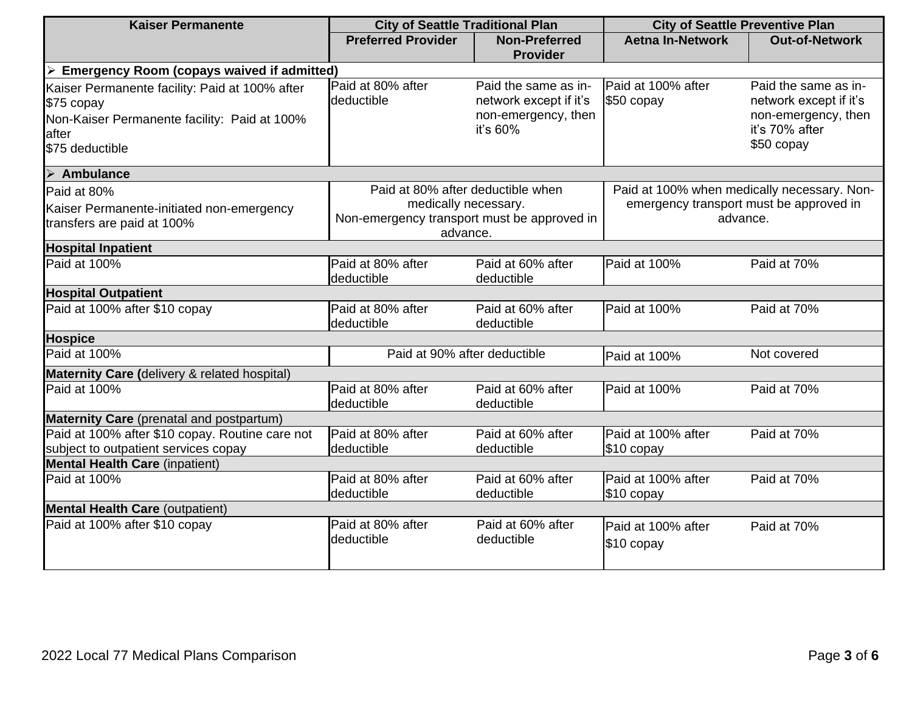| <b>Kaiser Permanente</b>                                                                                                                  | <b>City of Seattle Traditional Plan</b>                                                                              |                                                                                   | <b>City of Seattle Preventive Plan</b>                                                             |                                                                                                       |  |
|-------------------------------------------------------------------------------------------------------------------------------------------|----------------------------------------------------------------------------------------------------------------------|-----------------------------------------------------------------------------------|----------------------------------------------------------------------------------------------------|-------------------------------------------------------------------------------------------------------|--|
|                                                                                                                                           | <b>Preferred Provider</b>                                                                                            | <b>Non-Preferred</b><br><b>Provider</b>                                           | <b>Aetna In-Network</b>                                                                            | <b>Out-of-Network</b>                                                                                 |  |
| <b>Emergency Room (copays waived if admitted)</b><br>➤                                                                                    |                                                                                                                      |                                                                                   |                                                                                                    |                                                                                                       |  |
| Kaiser Permanente facility: Paid at 100% after<br>\$75 copay<br>Non-Kaiser Permanente facility: Paid at 100%<br>lafter<br>\$75 deductible | Paid at 80% after<br>deductible                                                                                      | Paid the same as in-<br>network except if it's<br>non-emergency, then<br>it's 60% | Paid at 100% after<br>\$50 copay                                                                   | Paid the same as in-<br>network except if it's<br>non-emergency, then<br>it's 70% after<br>\$50 copay |  |
| $\triangleright$ Ambulance                                                                                                                |                                                                                                                      |                                                                                   |                                                                                                    |                                                                                                       |  |
| Paid at 80%<br>Kaiser Permanente-initiated non-emergency<br>transfers are paid at 100%                                                    | Paid at 80% after deductible when<br>medically necessary.<br>Non-emergency transport must be approved in<br>advance. |                                                                                   | Paid at 100% when medically necessary. Non-<br>emergency transport must be approved in<br>advance. |                                                                                                       |  |
| <b>Hospital Inpatient</b>                                                                                                                 |                                                                                                                      |                                                                                   |                                                                                                    |                                                                                                       |  |
| Paid at 100%                                                                                                                              | Paid at 80% after<br>deductible                                                                                      | Paid at 60% after<br>deductible                                                   | Paid at 100%                                                                                       | Paid at 70%                                                                                           |  |
| <b>Hospital Outpatient</b>                                                                                                                |                                                                                                                      |                                                                                   |                                                                                                    |                                                                                                       |  |
| Paid at 100% after \$10 copay                                                                                                             | Paid at 80% after<br>deductible                                                                                      | Paid at 60% after<br>deductible                                                   | Paid at 100%                                                                                       | Paid at 70%                                                                                           |  |
| <b>Hospice</b>                                                                                                                            |                                                                                                                      |                                                                                   |                                                                                                    |                                                                                                       |  |
| Paid at 100%                                                                                                                              |                                                                                                                      | Paid at 90% after deductible<br>Paid at 100%                                      |                                                                                                    | Not covered                                                                                           |  |
| Maternity Care (delivery & related hospital)                                                                                              |                                                                                                                      |                                                                                   |                                                                                                    |                                                                                                       |  |
| Paid at 100%                                                                                                                              | Paid at 80% after<br>deductible                                                                                      | Paid at 60% after<br>deductible                                                   | Paid at 100%                                                                                       | Paid at 70%                                                                                           |  |
| <b>Maternity Care</b> (prenatal and postpartum)                                                                                           |                                                                                                                      |                                                                                   |                                                                                                    |                                                                                                       |  |
| Paid at 100% after \$10 copay. Routine care not<br>subject to outpatient services copay                                                   | Paid at 80% after<br>deductible                                                                                      | Paid at 60% after<br>deductible                                                   | Paid at 100% after<br>\$10 copay                                                                   | Paid at 70%                                                                                           |  |
| <b>Mental Health Care (inpatient)</b>                                                                                                     |                                                                                                                      |                                                                                   |                                                                                                    |                                                                                                       |  |
| Paid at 100%                                                                                                                              | Paid at 80% after<br>deductible                                                                                      | Paid at 60% after<br>deductible                                                   | Paid at 100% after<br>\$10 copay                                                                   | Paid at 70%                                                                                           |  |
| <b>Mental Health Care (outpatient)</b>                                                                                                    |                                                                                                                      |                                                                                   |                                                                                                    |                                                                                                       |  |
| Paid at 100% after \$10 copay                                                                                                             | Paid at 80% after<br>deductible                                                                                      | Paid at 60% after<br>deductible                                                   | Paid at 100% after<br>\$10 copay                                                                   | Paid at 70%                                                                                           |  |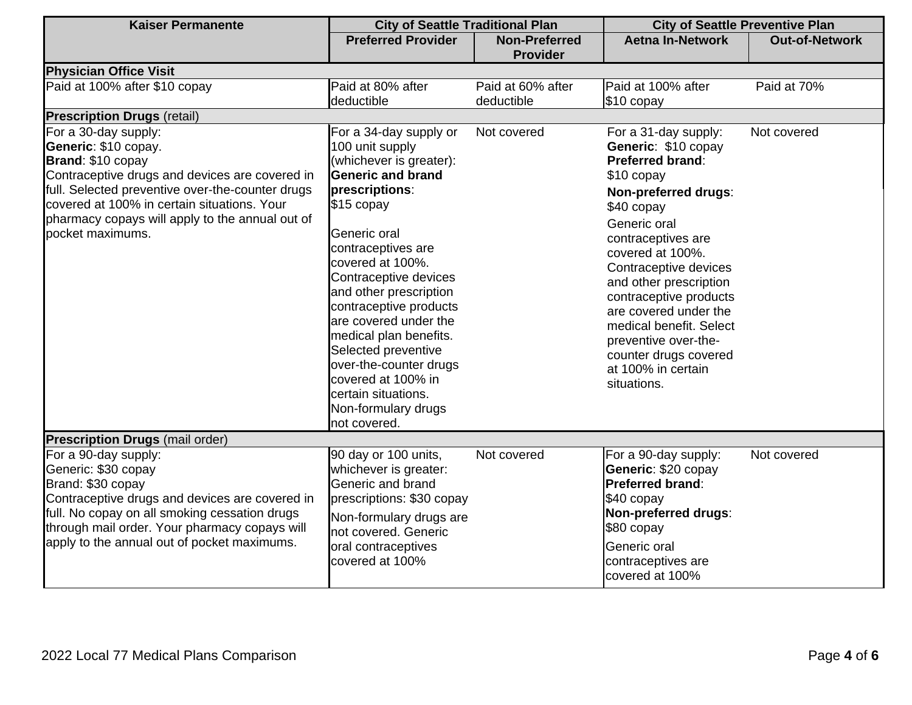| <b>Kaiser Permanente</b>                                                                                                                                                                                                                                                                      | <b>City of Seattle Traditional Plan</b>                                                                                                                                                                                                                                                                                                                                                                                                                          |                                         | <b>City of Seattle Preventive Plan</b>                                                                                                                                                                                                                                                                                                                                                                      |                       |
|-----------------------------------------------------------------------------------------------------------------------------------------------------------------------------------------------------------------------------------------------------------------------------------------------|------------------------------------------------------------------------------------------------------------------------------------------------------------------------------------------------------------------------------------------------------------------------------------------------------------------------------------------------------------------------------------------------------------------------------------------------------------------|-----------------------------------------|-------------------------------------------------------------------------------------------------------------------------------------------------------------------------------------------------------------------------------------------------------------------------------------------------------------------------------------------------------------------------------------------------------------|-----------------------|
|                                                                                                                                                                                                                                                                                               | <b>Preferred Provider</b>                                                                                                                                                                                                                                                                                                                                                                                                                                        | <b>Non-Preferred</b><br><b>Provider</b> | <b>Aetna In-Network</b>                                                                                                                                                                                                                                                                                                                                                                                     | <b>Out-of-Network</b> |
| <b>Physician Office Visit</b>                                                                                                                                                                                                                                                                 |                                                                                                                                                                                                                                                                                                                                                                                                                                                                  |                                         |                                                                                                                                                                                                                                                                                                                                                                                                             |                       |
| Paid at 100% after \$10 copay                                                                                                                                                                                                                                                                 | Paid at 80% after<br>deductible                                                                                                                                                                                                                                                                                                                                                                                                                                  | Paid at 60% after<br>deductible         | Paid at 100% after<br>\$10 copay                                                                                                                                                                                                                                                                                                                                                                            | Paid at 70%           |
| <b>Prescription Drugs (retail)</b>                                                                                                                                                                                                                                                            |                                                                                                                                                                                                                                                                                                                                                                                                                                                                  |                                         |                                                                                                                                                                                                                                                                                                                                                                                                             |                       |
| For a 30-day supply:<br>Generic: \$10 copay.<br>Brand: \$10 copay<br>Contraceptive drugs and devices are covered in<br>full. Selected preventive over-the-counter drugs<br>covered at 100% in certain situations. Your<br>pharmacy copays will apply to the annual out of<br>pocket maximums. | For a 34-day supply or<br>100 unit supply<br>(whichever is greater):<br><b>Generic and brand</b><br>prescriptions:<br>$$15$ copay<br>Generic oral<br>contraceptives are<br>covered at 100%.<br>Contraceptive devices<br>and other prescription<br>contraceptive products<br>are covered under the<br>medical plan benefits.<br>Selected preventive<br>over-the-counter drugs<br>covered at 100% in<br>certain situations.<br>Non-formulary drugs<br>not covered. | Not covered                             | For a 31-day supply:<br>Generic: \$10 copay<br><b>Preferred brand:</b><br>\$10 copay<br>Non-preferred drugs:<br>\$40 copay<br>Generic oral<br>contraceptives are<br>covered at 100%.<br>Contraceptive devices<br>and other prescription<br>contraceptive products<br>are covered under the<br>medical benefit. Select<br>preventive over-the-<br>counter drugs covered<br>at 100% in certain<br>situations. | Not covered           |
| <b>Prescription Drugs (mail order)</b>                                                                                                                                                                                                                                                        |                                                                                                                                                                                                                                                                                                                                                                                                                                                                  |                                         |                                                                                                                                                                                                                                                                                                                                                                                                             |                       |
| For a 90-day supply:<br>Generic: \$30 copay<br>Brand: \$30 copay<br>Contraceptive drugs and devices are covered in<br>full. No copay on all smoking cessation drugs<br>through mail order. Your pharmacy copays will<br>apply to the annual out of pocket maximums.                           | 90 day or 100 units,<br>whichever is greater:<br>Generic and brand<br>prescriptions: \$30 copay<br>Non-formulary drugs are<br>not covered. Generic<br>oral contraceptives<br>covered at 100%                                                                                                                                                                                                                                                                     | Not covered                             | For a 90-day supply:<br>Generic: \$20 copay<br><b>Preferred brand:</b><br>\$40 copay<br>Non-preferred drugs:<br>\$80 copay<br>Generic oral<br>contraceptives are<br>covered at 100%                                                                                                                                                                                                                         | Not covered           |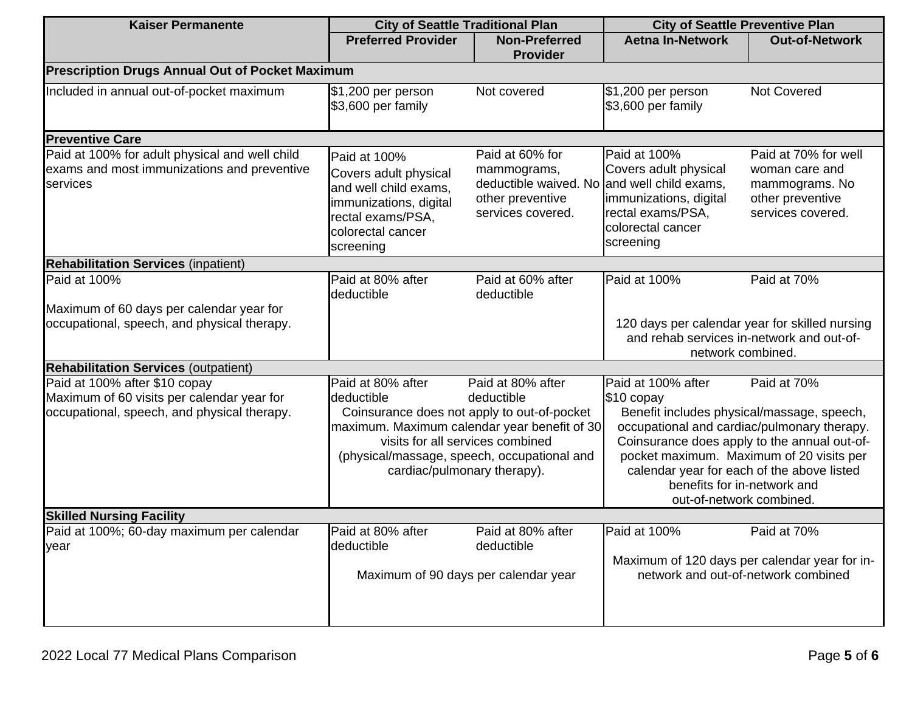| <b>Kaiser Permanente</b>                                                                                                                                                                                                                                                             | <b>City of Seattle Traditional Plan</b>                                                                                                                                                                                         |                                                                                                                        | <b>City of Seattle Preventive Plan</b>                                                                                                                                                                                                                                                                            |                                                                                                   |
|--------------------------------------------------------------------------------------------------------------------------------------------------------------------------------------------------------------------------------------------------------------------------------------|---------------------------------------------------------------------------------------------------------------------------------------------------------------------------------------------------------------------------------|------------------------------------------------------------------------------------------------------------------------|-------------------------------------------------------------------------------------------------------------------------------------------------------------------------------------------------------------------------------------------------------------------------------------------------------------------|---------------------------------------------------------------------------------------------------|
|                                                                                                                                                                                                                                                                                      | <b>Preferred Provider</b>                                                                                                                                                                                                       | <b>Non-Preferred</b><br><b>Provider</b>                                                                                | <b>Aetna In-Network</b>                                                                                                                                                                                                                                                                                           | <b>Out-of-Network</b>                                                                             |
| <b>Prescription Drugs Annual Out of Pocket Maximum</b>                                                                                                                                                                                                                               |                                                                                                                                                                                                                                 |                                                                                                                        |                                                                                                                                                                                                                                                                                                                   |                                                                                                   |
| Included in annual out-of-pocket maximum                                                                                                                                                                                                                                             | $$1,200$ per person<br>\$3,600 per family                                                                                                                                                                                       | Not covered                                                                                                            | $$1,200$ per person<br>\$3,600 per family                                                                                                                                                                                                                                                                         | <b>Not Covered</b>                                                                                |
| <b>Preventive Care</b>                                                                                                                                                                                                                                                               |                                                                                                                                                                                                                                 |                                                                                                                        |                                                                                                                                                                                                                                                                                                                   |                                                                                                   |
| Paid at 100% for adult physical and well child<br>exams and most immunizations and preventive<br>services                                                                                                                                                                            | Paid at 100%<br>Covers adult physical<br>and well child exams,<br>immunizations, digital<br>rectal exams/PSA,<br>colorectal cancer<br>screening                                                                                 | Paid at 60% for<br>mammograms,<br>deductible waived. No and well child exams,<br>other preventive<br>services covered. | Paid at 100%<br>Covers adult physical<br>immunizations, digital<br>rectal exams/PSA,<br>colorectal cancer<br>screening                                                                                                                                                                                            | Paid at 70% for well<br>woman care and<br>mammograms. No<br>other preventive<br>services covered. |
| <b>Rehabilitation Services (inpatient)</b>                                                                                                                                                                                                                                           |                                                                                                                                                                                                                                 |                                                                                                                        |                                                                                                                                                                                                                                                                                                                   |                                                                                                   |
| Paid at 100%<br>Maximum of 60 days per calendar year for<br>occupational, speech, and physical therapy.<br><b>Rehabilitation Services (outpatient)</b><br>Paid at 100% after \$10 copay<br>Maximum of 60 visits per calendar year for<br>occupational, speech, and physical therapy. | Paid at 80% after<br>deductible<br>Paid at 80% after<br>deductible<br>Coinsurance does not apply to out-of-pocket<br>maximum. Maximum calendar year benefit of 30<br>visits for all services combined                           | Paid at 60% after<br>deductible<br>Paid at 80% after<br>deductible                                                     | Paid at 100%<br>120 days per calendar year for skilled nursing<br>and rehab services in-network and out-of-<br>network combined.<br>Paid at 100% after<br>\$10 copay<br>Benefit includes physical/massage, speech,<br>occupational and cardiac/pulmonary therapy.<br>Coinsurance does apply to the annual out-of- | Paid at 70%<br>Paid at 70%                                                                        |
|                                                                                                                                                                                                                                                                                      | pocket maximum. Maximum of 20 visits per<br>(physical/massage, speech, occupational and<br>calendar year for each of the above listed<br>cardiac/pulmonary therapy).<br>benefits for in-network and<br>out-of-network combined. |                                                                                                                        |                                                                                                                                                                                                                                                                                                                   |                                                                                                   |
| <b>Skilled Nursing Facility</b>                                                                                                                                                                                                                                                      |                                                                                                                                                                                                                                 |                                                                                                                        |                                                                                                                                                                                                                                                                                                                   |                                                                                                   |
| Paid at 100%; 60-day maximum per calendar<br>year                                                                                                                                                                                                                                    | Paid at 80% after<br>deductible<br>Maximum of 90 days per calendar year                                                                                                                                                         | Paid at 80% after<br>deductible                                                                                        | Paid at 100%<br>Maximum of 120 days per calendar year for in-<br>network and out-of-network combined                                                                                                                                                                                                              | Paid at 70%                                                                                       |